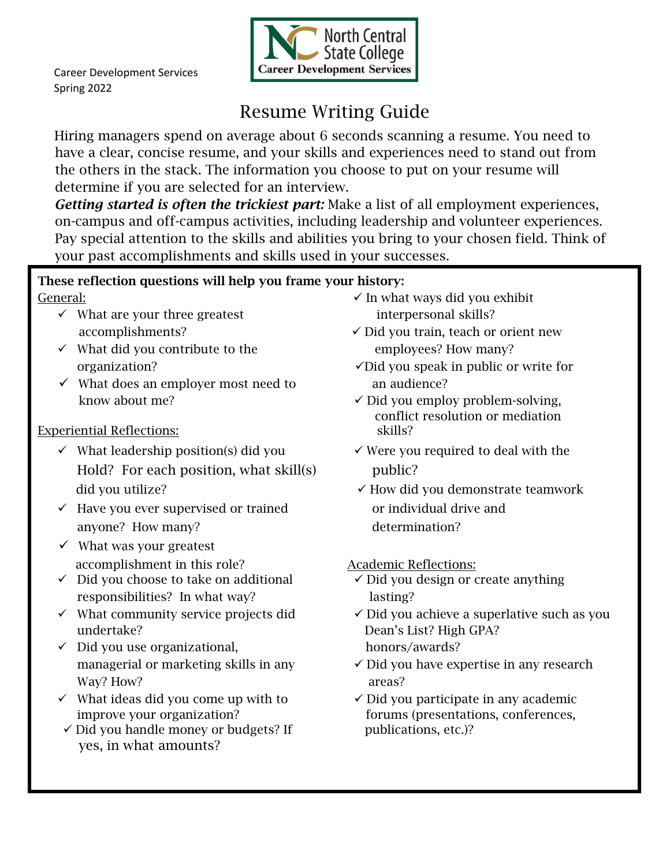

## Resume Writing Guide

Hiring managers spend on average about 6 seconds scanning a resume. You need to have a clear, concise resume, and your skills and experiences need to stand out from the others in the stack. The information you choose to put on your resume will determine if you are selected for an interview.

*Getting started is often the trickiest part:* Make a list of all employment experiences, on-campus and off-campus activities, including leadership and volunteer experiences. Pay special attention to the skills and abilities you bring to your chosen field. Think of your past accomplishments and skills used in your successes.

## These reflection questions will help you frame your history:

- ✓ What are your three greatest interpersonal skills?
- ✓ What did you contribute to the employees? How many?
- $\checkmark$  What does an employer most need to an audience? know about me?  $\checkmark$  Did you employ problem-solving,

## Experiential Reflections: skills?

- $\checkmark$  What leadership position(s) did you  $\checkmark$  Were you required to deal with the Hold? For each position, what skill(s) public? did you utilize? ✓ How did you demonstrate teamwork
- ✓ Have you ever supervised or trained or individual drive and anyone? How many? determination?
- $\checkmark$  What was your greatest accomplishment in this role? Academic Reflections:
- ✓ Did you choose to take on additional ✓ Did you design or create anything responsibilities? In what way? lasting?
- undertake? Dean's List? High GPA?
- ✓ Did you use organizational, honors/awards? Way? How? areas?
- $\checkmark$  What ideas did you come up with to  $\checkmark$  Did you participate in any academic
- $\checkmark$  Did you handle money or budgets? If publications, etc.)? yes, in what amounts?
- General:  $\checkmark$  In what ways did you exhibit
	- accomplishments? ✓ Did you train, teach or orient new
	- organization? ✓Did you speak in public or write for
		- conflict resolution or mediation
		-
		-

- 
- ✓ What community service projects did ✓ Did you achieve a superlative such as you
	- managerial or marketing skills in any  $\checkmark$  Did you have expertise in any research
	- improve your organization? forums (presentations, conferences,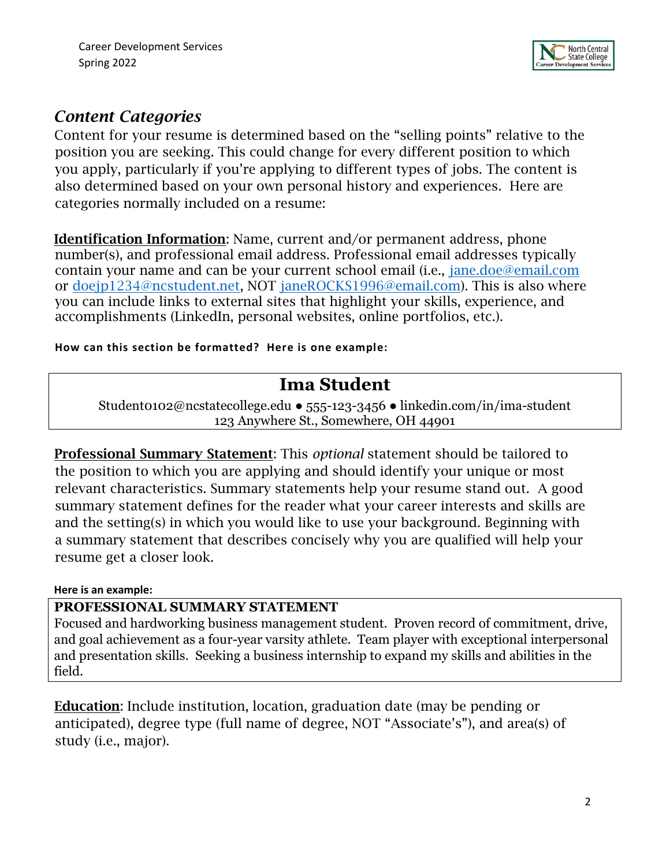

## *Content Categories*

Content for your resume is determined based on the "selling points" relative to the position you are seeking. This could change for every different position to which you apply, particularly if you're applying to different types of jobs. The content is also determined based on your own personal history and experiences. Here are categories normally included on a resume:

Identification Information: Name, current and/or permanent address, phone number(s), and professional email address. Professional email addresses typically contain your name and can be your current school email (i.e., jane.doe@email.com or doejp1234@ncstudent.net, NOT janeROCKS1996@email.com). This is also where you can include links to external sites that highlight your skills, experience, and accomplishments (LinkedIn, personal websites, online portfolios, etc.).

**How can this section be formatted? Here is one example:** 

## **Ima Student**

Student0102@ncstatecollege.edu ● 555-123-3456 ● linkedin.com/in/ima-student 123 Anywhere St., Somewhere, OH 44901

Professional Summary Statement: This *optional* statement should be tailored to the position to which you are applying and should identify your unique or most relevant characteristics. Summary statements help your resume stand out. A good summary statement defines for the reader what your career interests and skills are and the setting(s) in which you would like to use your background. Beginning with a summary statement that describes concisely why you are qualified will help your resume get a closer look.

### **Here is an example:**

### **PROFESSIONAL SUMMARY STATEMENT**

Focused and hardworking business management student. Proven record of commitment, drive, and goal achievement as a four-year varsity athlete. Team player with exceptional interpersonal and presentation skills. Seeking a business internship to expand my skills and abilities in the field.

Education: Include institution, location, graduation date (may be pending or anticipated), degree type (full name of degree, NOT "Associate's"), and area(s) of study (i.e., major).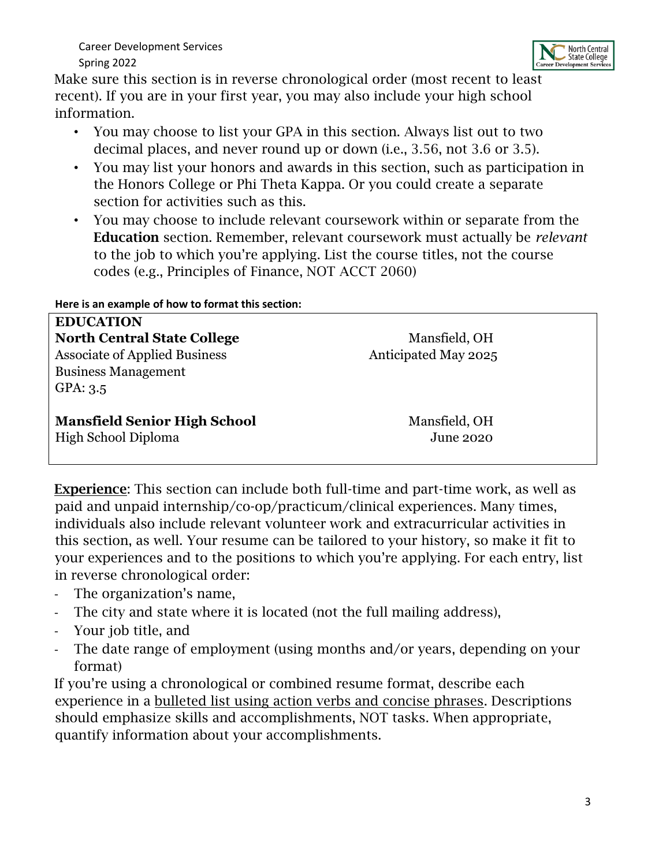

Make sure this section is in reverse chronological order (most recent to least recent). If you are in your first year, you may also include your high school information.

- You may choose to list your GPA in this section. Always list out to two decimal places, and never round up or down (i.e., 3.56, not 3.6 or 3.5).
- You may list your honors and awards in this section, such as participation in the Honors College or Phi Theta Kappa. Or you could create a separate section for activities such as this.
- You may choose to include relevant coursework within or separate from the Education section. Remember, relevant coursework must actually be *relevant* to the job to which you're applying. List the course titles, not the course codes (e.g., Principles of Finance, NOT ACCT 2060)

| <b>EDUCATION</b>                     |                      |  |
|--------------------------------------|----------------------|--|
| <b>North Central State College</b>   | Mansfield, OH        |  |
| <b>Associate of Applied Business</b> | Anticipated May 2025 |  |
| <b>Business Management</b>           |                      |  |
| GPA: 3.5                             |                      |  |
|                                      |                      |  |
| <b>Mansfield Senior High School</b>  | Mansfield, OH        |  |
| High School Diploma                  | <b>June 2020</b>     |  |
|                                      |                      |  |

Experience: This section can include both full-time and part-time work, as well as paid and unpaid internship/co-op/practicum/clinical experiences. Many times, individuals also include relevant volunteer work and extracurricular activities in this section, as well. Your resume can be tailored to your history, so make it fit to your experiences and to the positions to which you're applying. For each entry, list in reverse chronological order:

- The organization's name,
- The city and state where it is located (not the full mailing address),
- Your job title, and
- The date range of employment (using months and/or years, depending on your format)

If you're using a chronological or combined resume format, describe each experience in a bulleted list using action verbs and concise phrases. Descriptions should emphasize skills and accomplishments, NOT tasks. When appropriate, quantify information about your accomplishments.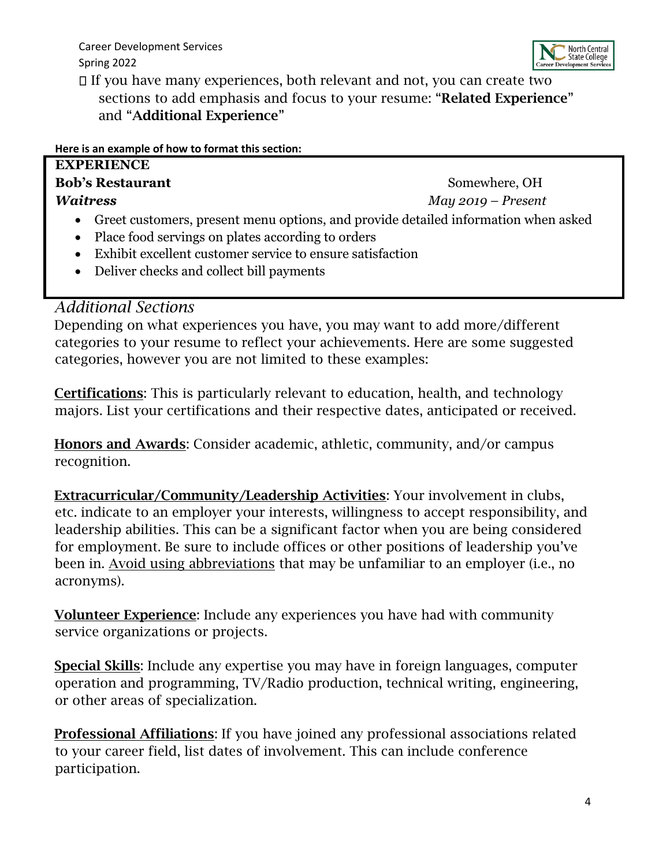

 $\Box$  If you have many experiences, both relevant and not, you can create two sections to add emphasis and focus to your resume: "Related Experience" and "Additional Experience"

**Here is an example of how to format this section:**

| <b>EXPERIENCE</b>                                                                    |                      |
|--------------------------------------------------------------------------------------|----------------------|
| <b>Bob's Restaurant</b>                                                              | Somewhere, OH        |
| <b>Waitress</b>                                                                      | $May 2019 - Present$ |
| • Greet customers, present menu options, and provide detailed information when asked |                      |
| • Place food servings on plates according to orders                                  |                      |
| Exhibit excellent customer service to ensure satisfaction<br>$\bullet$               |                      |
| • Deliver checks and collect bill payments                                           |                      |

## *Additional Sections*

Depending on what experiences you have, you may want to add more/different categories to your resume to reflect your achievements. Here are some suggested categories, however you are not limited to these examples:

Certifications: This is particularly relevant to education, health, and technology majors. List your certifications and their respective dates, anticipated or received.

Honors and Awards: Consider academic, athletic, community, and/or campus recognition.

Extracurricular/Community/Leadership Activities: Your involvement in clubs, etc. indicate to an employer your interests, willingness to accept responsibility, and leadership abilities. This can be a significant factor when you are being considered for employment. Be sure to include offices or other positions of leadership you've been in. Avoid using abbreviations that may be unfamiliar to an employer (i.e., no acronyms).

Volunteer Experience: Include any experiences you have had with community service organizations or projects.

Special Skills: Include any expertise you may have in foreign languages, computer operation and programming, TV/Radio production, technical writing, engineering, or other areas of specialization.

Professional Affiliations: If you have joined any professional associations related to your career field, list dates of involvement. This can include conference participation.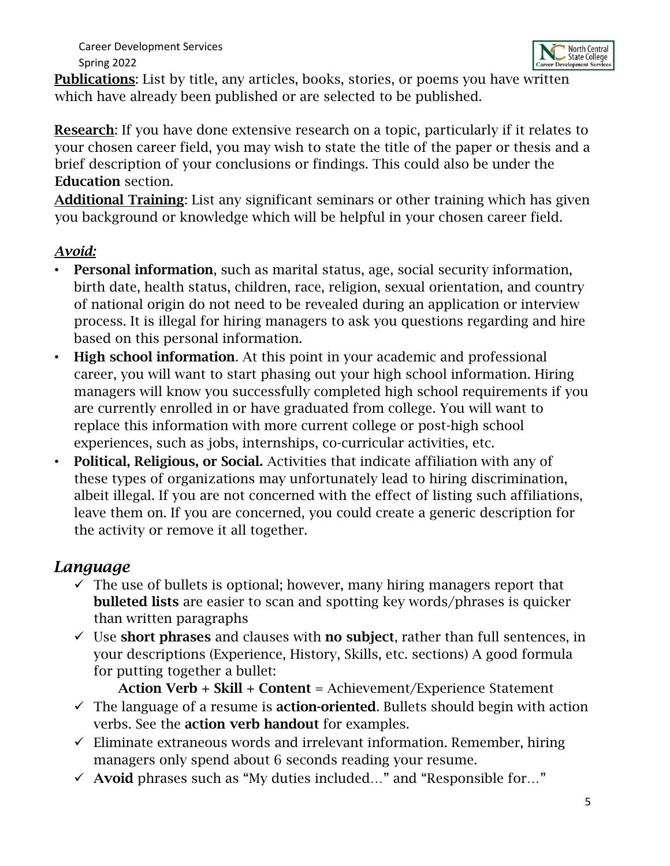

Publications: List by title, any articles, books, stories, or poems you have written which have already been published or are selected to be published.

Research: If you have done extensive research on a topic, particularly if it relates to your chosen career field, you may wish to state the title of the paper or thesis and a brief description of your conclusions or findings. This could also be under the Education section.

Additional Training: List any significant seminars or other training which has given you background or knowledge which will be helpful in your chosen career field.

## *Avoid:*

- Personal information, such as marital status, age, social security information, birth date, health status, children, race, religion, sexual orientation, and country of national origin do not need to be revealed during an application or interview process. It is illegal for hiring managers to ask you questions regarding and hire based on this personal information.
- High school information. At this point in your academic and professional career, you will want to start phasing out your high school information. Hiring managers will know you successfully completed high school requirements if you are currently enrolled in or have graduated from college. You will want to replace this information with more current college or post-high school experiences, such as jobs, internships, co-curricular activities, etc.
- Political, Religious, or Social. Activities that indicate affiliation with any of these types of organizations may unfortunately lead to hiring discrimination, albeit illegal. If you are not concerned with the effect of listing such affiliations, leave them on. If you are concerned, you could create a generic description for the activity or remove it all together.

## *Language*

- $\checkmark$  The use of bullets is optional; however, many hiring managers report that bulleted lists are easier to scan and spotting key words/phrases is quicker than written paragraphs
- $\checkmark$  Use short phrases and clauses with no subject, rather than full sentences, in your descriptions (Experience, History, Skills, etc. sections) A good formula for putting together a bullet:

Action Verb + Skill + Content = Achievement/Experience Statement

- $\checkmark$  The language of a resume is **action-oriented**. Bullets should begin with action verbs. See the action verb handout for examples.
- $\checkmark$  Eliminate extraneous words and irrelevant information. Remember, hiring managers only spend about 6 seconds reading your resume.
- $\checkmark$  Avoid phrases such as "My duties included..." and "Responsible for..."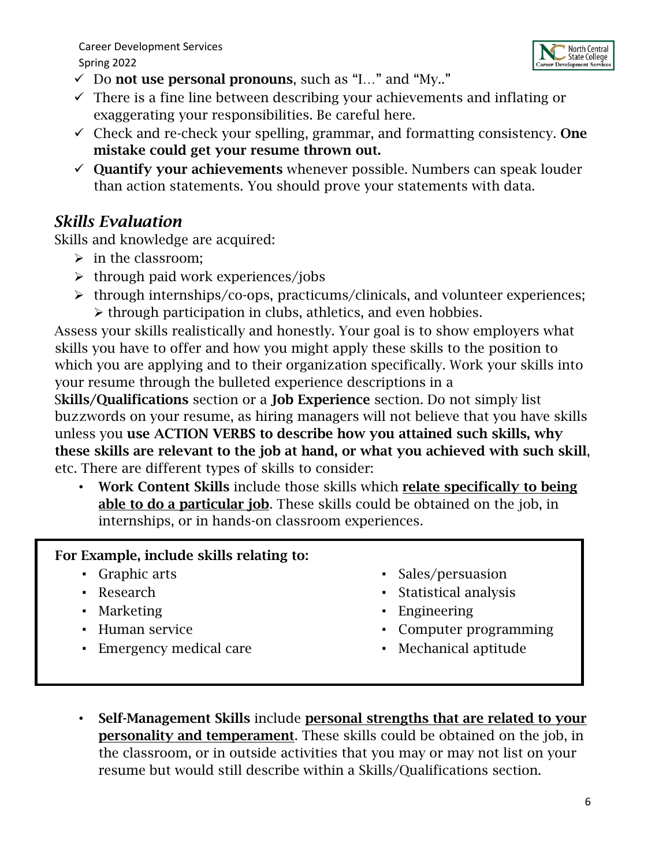

- $\checkmark$  Do not use personal pronouns, such as "I..." and "My.."
- $\checkmark$  There is a fine line between describing your achievements and inflating or exaggerating your responsibilities. Be careful here.
- $\checkmark$  Check and re-check your spelling, grammar, and formatting consistency. One mistake could get your resume thrown out.
- $\checkmark$  Quantify your achievements whenever possible. Numbers can speak louder than action statements. You should prove your statements with data.

## *Skills Evaluation*

Skills and knowledge are acquired:

- ➢ in the classroom;
- $\triangleright$  through paid work experiences/jobs
- ➢ through internships/co-ops, practicums/clinicals, and volunteer experiences; ➢ through participation in clubs, athletics, and even hobbies.

Assess your skills realistically and honestly. Your goal is to show employers what skills you have to offer and how you might apply these skills to the position to which you are applying and to their organization specifically. Work your skills into your resume through the bulleted experience descriptions in a

Skills/Qualifications section or a Job Experience section. Do not simply list buzzwords on your resume, as hiring managers will not believe that you have skills unless you use ACTION VERBS to describe how you attained such skills, why these skills are relevant to the job at hand, or what you achieved with such skill, etc. There are different types of skills to consider:

• Work Content Skills include those skills which relate specifically to being able to do a particular job. These skills could be obtained on the job, in internships, or in hands-on classroom experiences.

## For Example, include skills relating to:

- Graphic arts
- Research
- Marketing
- Human service
- **Emergency medical care**
- Sales/persuasion
- Statistical analysis
- Engineering
- Computer programming
- Mechanical aptitude
- Self-Management Skills include personal strengths that are related to your personality and temperament. These skills could be obtained on the job, in the classroom, or in outside activities that you may or may not list on your resume but would still describe within a Skills/Qualifications section.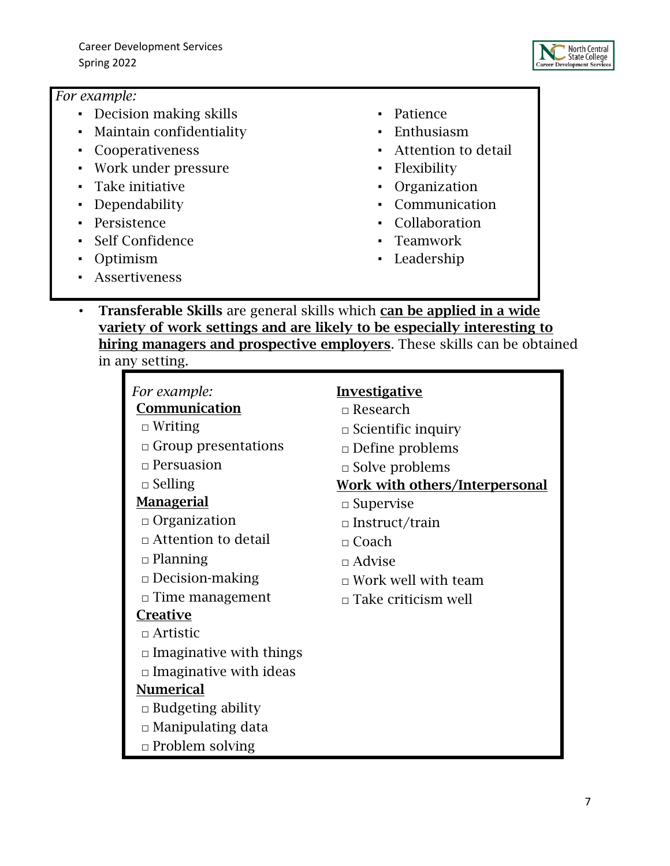

### *For example:*

- Decision making skills
- Maintain confidentiality
- Cooperativeness
- Work under pressure
- Take initiative
- Dependability
- Persistence
- Self Confidence
- Optimism
- Assertiveness
- Patience
- Enthusiasm
- Attention to detail
- Flexibility
- Organization
- Communication
- Collaboration
- Teamwork
- Leadership
- Transferable Skills are general skills which can be applied in a wide variety of work settings and are likely to be especially interesting to hiring managers and prospective employers. These skills can be obtained in any setting.

| For example:                   | <b>Investigative</b>                  |
|--------------------------------|---------------------------------------|
| Communication                  | $\Box$ Research                       |
| $\Box$ Writing                 | $\Box$ Scientific inquiry             |
| $\Box$ Group presentations     | $\Box$ Define problems                |
| $\Box$ Persuasion              | $\Box$ Solve problems                 |
| $\Box$ Selling                 | <b>Work with others/Interpersonal</b> |
| <u>Managerial</u>              | $\Box$ Supervise                      |
| $\Box$ Organization            | $\Box$ Instruct/train                 |
| $\Box$ Attention to detail     | $\Box$ Coach                          |
| $\Box$ Planning                | $\Box$ Advise                         |
| $\Box$ Decision-making         | $\Box$ Work well with team            |
| $\Box$ Time management         | $\Box$ Take criticism well            |
| <b>Creative</b>                |                                       |
| $\Box$ Artistic                |                                       |
| $\Box$ Imaginative with things |                                       |
| $\Box$ Imaginative with ideas  |                                       |
| <b>Numerical</b>               |                                       |
| $\Box$ Budgeting ability       |                                       |
| $\Box$ Manipulating data       |                                       |
| $\Box$ Problem solving         |                                       |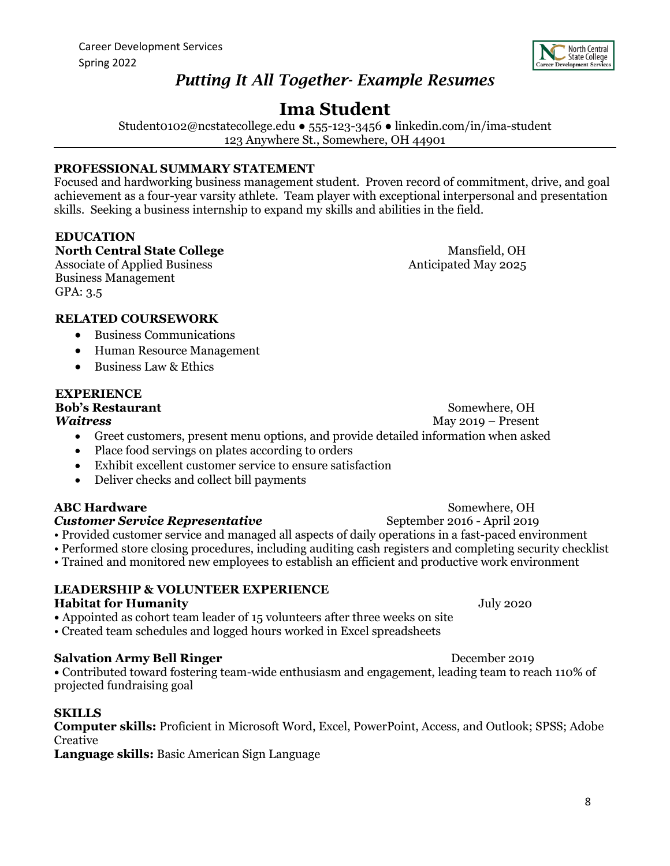

## *Putting It All Together- Example Resumes*

## **Ima Student**

Student0102@ncstatecollege.edu ● 555-123-3456 ● linkedin.com/in/ima-student 123 Anywhere St., Somewhere, OH 44901

#### **PROFESSIONAL SUMMARY STATEMENT**

Focused and hardworking business management student. Proven record of commitment, drive, and goal achievement as a four-year varsity athlete. Team player with exceptional interpersonal and presentation skills. Seeking a business internship to expand my skills and abilities in the field.

#### **EDUCATION**

**North Central State College** Mansfield, OH

Business Management GPA: 3.5

Associate of Applied Business Anticipated May 2025

#### **RELATED COURSEWORK**

- Business Communications
- Human Resource Management
- Business Law & Ethics

#### **EXPERIENCE**

**Bob's Restaurant** Somewhere, OH

*Waitress* May 2019 – Present

- Greet customers, present menu options, and provide detailed information when asked
- Place food servings on plates according to orders
- Exhibit excellent customer service to ensure satisfaction
- Deliver checks and collect bill payments

#### **ABC Hardware** Somewhere, OH

**Customer Service Representative** September 2016 - April 2019

- Provided customer service and managed all aspects of daily operations in a fast-paced environment
- Performed store closing procedures, including auditing cash registers and completing security checklist
- Trained and monitored new employees to establish an efficient and productive work environment

#### **LEADERSHIP & VOLUNTEER EXPERIENCE Habitat for Humanity** July 2020

- Appointed as cohort team leader of 15 volunteers after three weeks on site
- Created team schedules and logged hours worked in Excel spreadsheets

### **Salvation Army Bell Ringer** December 2019

**•** Contributed toward fostering team-wide enthusiasm and engagement, leading team to reach 110% of projected fundraising goal

#### **SKILLS**

**Computer skills:** Proficient in Microsoft Word, Excel, PowerPoint, Access, and Outlook; SPSS; Adobe Creative

**Language skills:** Basic American Sign Language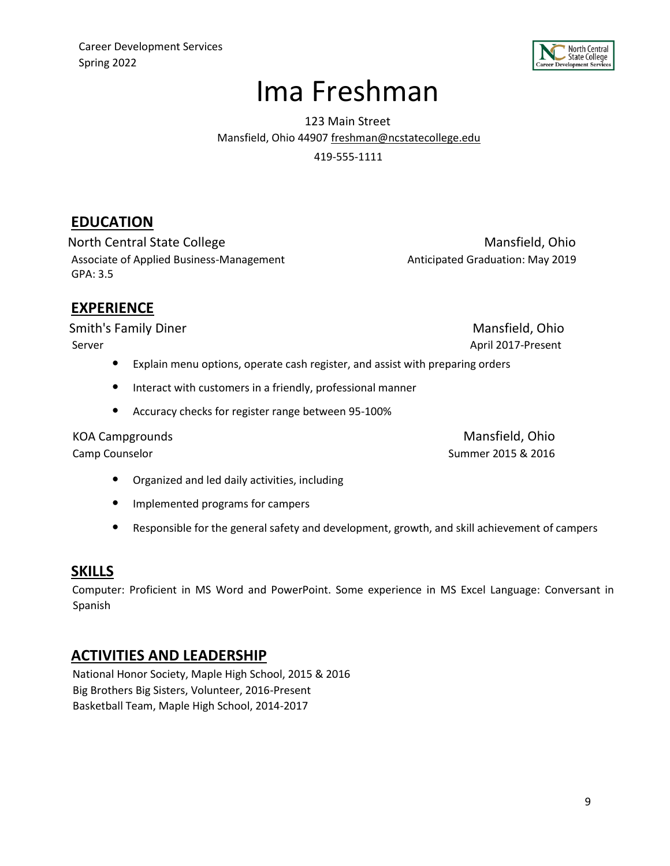

# Ima Freshman

123 Main Street Mansfield, Ohio 44907 freshman@ncstatecollege.edu 419-555-1111

## **EDUCATION**

North Central State College Mansfield, Ohio Associate of Applied Business-Management Anticipated Graduation: May 2019 GPA: 3.5

## **EXPERIENCE**

Smith's Family Diner Mansfield, Ohio Server April 2017-Present

- Explain menu options, operate cash register, and assist with preparing orders
- Interact with customers in a friendly, professional manner
- Accuracy checks for register range between 95-100%

KOA Campgrounds **Mansfield, Ohio** Camp Counselor Summer 2015 & 2016

- Organized and led daily activities, including
- Implemented programs for campers
- Responsible for the general safety and development, growth, and skill achievement of campers

### **SKILLS**

Computer: Proficient in MS Word and PowerPoint. Some experience in MS Excel Language: Conversant in Spanish

### **ACTIVITIES AND LEADERSHIP**

National Honor Society, Maple High School, 2015 & 2016 Big Brothers Big Sisters, Volunteer, 2016-Present Basketball Team, Maple High School, 2014-2017